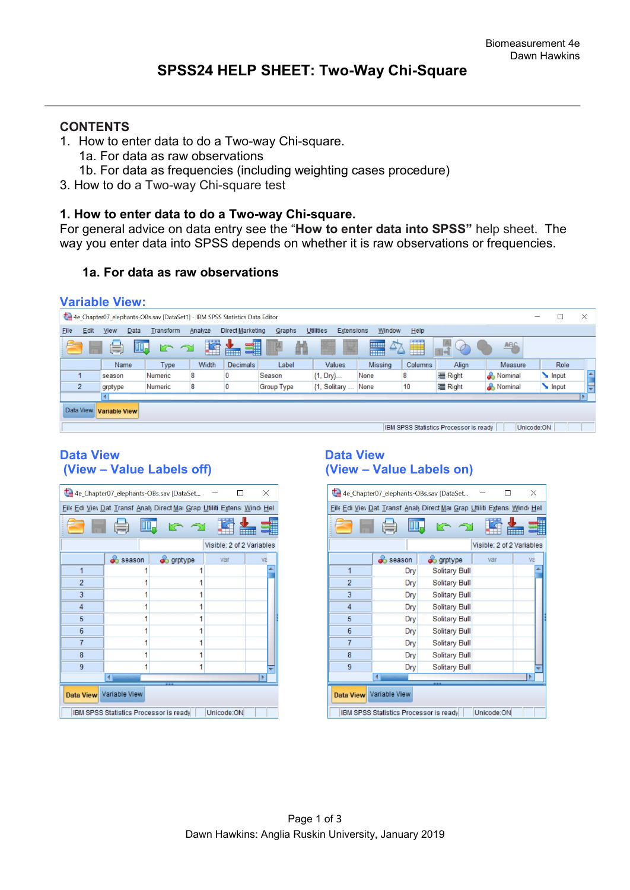# **CONTENTS**

- 1. How to enter data to do a Two-way Chi-square.
	- 1a. For data as raw observations
	- 1b. For data as frequencies (including weighting cases procedure)
- 3. How to do a Two-way Chi-square test

### **1. How to enter data to do a Two-way Chi-square.**

For general advice on data entry see the "**How to enter data into SPSS"** help sheet. The way you enter data into SPSS depends on whether it is raw observations or frequencies.

## **1a. For data as raw observations**

# **Variable View:**

|                |                                                                                                                                    |      | 4e Chapter07 elephants-OBs.sav [DataSet1] - IBM SPSS Statistics Data Editor |         |                         |                   |                                |                |         |                |           | — |       | $\times$ |
|----------------|------------------------------------------------------------------------------------------------------------------------------------|------|-----------------------------------------------------------------------------|---------|-------------------------|-------------------|--------------------------------|----------------|---------|----------------|-----------|---|-------|----------|
| Edit<br>File   | View                                                                                                                               | Data | Transform                                                                   | Analyze | <b>Direct Marketing</b> | Graphs            | <b>Utilities</b><br>Extensions | Window         | Help    |                |           |   |       |          |
|                | <b>Til Se</b><br>$\Delta$<br>嗑<br>41<br><b>HERE</b><br>ABC<br>$\Rightarrow$<br>r<br>¥<br>$\varphi$<br>Ħ<br>ticos:<br><b>TEEFER</b> |      |                                                                             |         |                         |                   |                                |                |         |                |           |   |       |          |
|                | Name                                                                                                                               |      | Type                                                                        | Width   | <b>Decimals</b>         | Label             | <b>Values</b>                  | <b>Missing</b> | Columns | Align          | Measure   |   | Role  |          |
|                | season                                                                                                                             |      | Numeric                                                                     | 8       |                         | Season            | $\{1, Dry\}$                   | None           |         | <b>三 Right</b> | & Nominal |   | Input | L.       |
| $\overline{2}$ | grptype                                                                                                                            |      | Numeric                                                                     | 8       |                         | <b>Group Type</b> | {1, Solitary                   | None           | 10      | <b>三 Right</b> | & Nominal |   | Input |          |
|                | l F                                                                                                                                |      |                                                                             |         |                         |                   |                                |                |         |                |           |   |       |          |
|                | Data View<br><b>Variable View</b>                                                                                                  |      |                                                                             |         |                         |                   |                                |                |         |                |           |   |       |          |
|                | IBM SPSS Statistics Processor is ready<br>Unicode:ON                                                                               |      |                                                                             |         |                         |                   |                                |                |         |                |           |   |       |          |

## Data View<br>
(View – Value Labels off) **Data View – Value Labels on**) **(View – Value Labels off) (View – Value Labels on)**

| 4e_Chapter07_elephants-OBs.sav [DataSet<br>$\times$  |                           |                                                                          |     |    |  |  |  |  |
|------------------------------------------------------|---------------------------|--------------------------------------------------------------------------|-----|----|--|--|--|--|
|                                                      |                           | File Edi Viev Dat Transf Analy Direct Mai Grap Utiliti Extensi Windi Hel |     |    |  |  |  |  |
| $\sim$                                               |                           |                                                                          |     |    |  |  |  |  |
|                                                      | Visible: 2 of 2 Variables |                                                                          |     |    |  |  |  |  |
|                                                      | <b>Season</b>             | o grptype                                                                | var | Va |  |  |  |  |
| 1                                                    |                           |                                                                          |     |    |  |  |  |  |
| $\overline{2}$                                       |                           |                                                                          |     |    |  |  |  |  |
| 3                                                    |                           | 1                                                                        |     |    |  |  |  |  |
| $\overline{4}$                                       |                           | 1                                                                        |     |    |  |  |  |  |
| 5                                                    |                           |                                                                          |     |    |  |  |  |  |
| 6                                                    |                           |                                                                          |     |    |  |  |  |  |
| $\overline{7}$                                       |                           | 1                                                                        |     |    |  |  |  |  |
| 8                                                    |                           |                                                                          |     |    |  |  |  |  |
| 9                                                    | 1                         |                                                                          |     |    |  |  |  |  |
|                                                      |                           |                                                                          |     |    |  |  |  |  |
| Data View Variable View                              |                           |                                                                          |     |    |  |  |  |  |
| Unicode:ON<br>IBM SPSS Statistics Processor is ready |                           |                                                                          |     |    |  |  |  |  |

| 4e_Chapter07_elephants-OBs.sav [DataSet<br>X         |                                                                          |                      |     |    |  |  |  |  |
|------------------------------------------------------|--------------------------------------------------------------------------|----------------------|-----|----|--|--|--|--|
|                                                      | File Edi Viev Dat Transf Analy Direct Mai Grap Utiliti Extensi Windi Hel |                      |     |    |  |  |  |  |
|                                                      |                                                                          |                      |     |    |  |  |  |  |
| Visible: 2 of 2 Variables                            |                                                                          |                      |     |    |  |  |  |  |
|                                                      | season                                                                   | $\bullet$ grptype    | var | Va |  |  |  |  |
| $\overline{1}$                                       | Dry                                                                      | <b>Solitary Bull</b> |     |    |  |  |  |  |
| $\overline{2}$                                       | Dry                                                                      | <b>Solitary Bull</b> |     |    |  |  |  |  |
| 3                                                    | Dry                                                                      | Solitary Bull        |     |    |  |  |  |  |
| $\overline{4}$                                       | Dry                                                                      | <b>Solitary Bull</b> |     |    |  |  |  |  |
| 5                                                    | Dry                                                                      | <b>Solitary Bull</b> |     |    |  |  |  |  |
| $6\phantom{1}$                                       | Dry                                                                      | <b>Solitary Bull</b> |     |    |  |  |  |  |
| $\overline{7}$                                       | Dry                                                                      | Solitary Bull        |     |    |  |  |  |  |
| 8                                                    | Dry                                                                      | Solitary Bull        |     |    |  |  |  |  |
| 9                                                    | Dry                                                                      | <b>Solitary Bull</b> |     |    |  |  |  |  |
|                                                      |                                                                          |                      |     |    |  |  |  |  |
| Data View Variable View                              |                                                                          |                      |     |    |  |  |  |  |
| Unicode:ON<br>IBM SPSS Statistics Processor is ready |                                                                          |                      |     |    |  |  |  |  |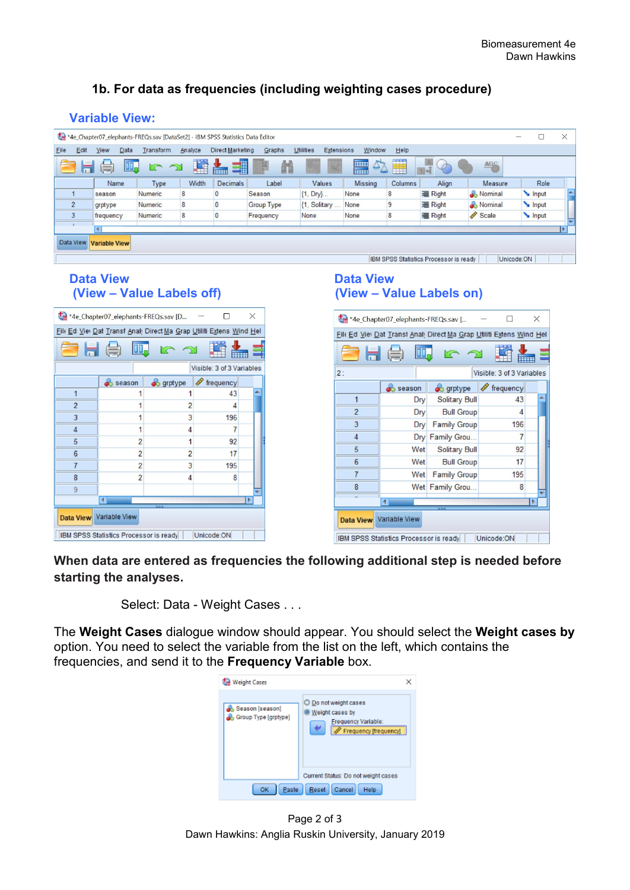# **1b. For data as frequencies (including weighting cases procedure)**

# **Variable View:**

|                                   | *4e Chapter07 elephants-FREQs.sav [DataSet2] - IBM SPSS Statistics Data Editor                                              |           |         |                  |                   |                                       |                |         |                |           | Г<br>$\qquad \qquad -$ | × |
|-----------------------------------|-----------------------------------------------------------------------------------------------------------------------------|-----------|---------|------------------|-------------------|---------------------------------------|----------------|---------|----------------|-----------|------------------------|---|
| Edit<br>Eile                      | View<br>Data                                                                                                                | Transform | Analyze | Direct Marketing | Graphs            | <b>Utilities</b><br><b>Extensions</b> | Window         | Help    |                |           |                        |   |
| $\equiv$<br>声                     | <b>SERVICE</b><br>F<br>$\Delta$<br>4<br>E<br><b>ABC</b><br>Ħ<br>$\sum$<br>$\rightarrow$<br>H<br><b>Final</b><br><b>ETHE</b> |           |         |                  |                   |                                       |                |         |                |           |                        |   |
|                                   | Name                                                                                                                        | Type      | Width   | <b>Decimals</b>  | Label             | Values                                | <b>Missing</b> | Columns | Align          | Measure   | Role                   |   |
|                                   | season                                                                                                                      | Numeric   | 8       |                  | Season            | ${1, Dry}$                            | None           | 8       | <b>三 Right</b> | & Nominal | Input                  | × |
| $\overline{2}$                    | grptype                                                                                                                     | Numeric   | 8       |                  | <b>Group Type</b> | {1, Solitary                          | None           | 9       | <b>三 Right</b> | Nominal   | Input                  |   |
| 3                                 | frequency                                                                                                                   | Numeric   | 8       |                  | Frequency         | None                                  | None           | 8       | <b>三 Right</b> | Scale     | Input                  |   |
|                                   |                                                                                                                             |           |         |                  |                   |                                       |                |         |                |           |                        |   |
| Data View<br><b>Variable View</b> |                                                                                                                             |           |         |                  |                   |                                       |                |         |                |           |                        |   |
|                                   | IBM SPSS Statistics Processor is ready<br>Unicode:ON                                                                        |           |         |                  |                   |                                       |                |         |                |           |                        |   |

## **Data View Contract Contract Contract Data View Data View (View – Value Labels off) (View – Value Labels on)**

| *4e_Chapter07_elephants-FREQs.sav [D<br>$\times$     |                                                                      |                  |                           |  |  |  |  |
|------------------------------------------------------|----------------------------------------------------------------------|------------------|---------------------------|--|--|--|--|
|                                                      | File Ed Viel Dat Transf Anal, Direct Ma Grap Utiliti Extens Wind Hel |                  |                           |  |  |  |  |
| 日員<br>======                                         |                                                                      |                  |                           |  |  |  |  |
|                                                      |                                                                      |                  | Visible: 3 of 3 Variables |  |  |  |  |
|                                                      | <b>Season</b>                                                        | <b>S</b> grptype | Frequency                 |  |  |  |  |
| 1                                                    |                                                                      |                  | 43                        |  |  |  |  |
| $\overline{2}$                                       | 1                                                                    | $\overline{2}$   | 4                         |  |  |  |  |
| 3                                                    | 1                                                                    | 3                | 196                       |  |  |  |  |
| $\overline{4}$                                       | 1                                                                    | 4                | 7                         |  |  |  |  |
| 5                                                    | $\overline{2}$                                                       | 1                | 92                        |  |  |  |  |
| $6\phantom{1}6$                                      | 2                                                                    | 2                | 17                        |  |  |  |  |
| $\overline{7}$                                       | 2                                                                    | 3                | 195                       |  |  |  |  |
| 8                                                    | $\overline{2}$                                                       | 4                | 8                         |  |  |  |  |
| 9                                                    |                                                                      |                  |                           |  |  |  |  |
|                                                      |                                                                      |                  |                           |  |  |  |  |
| Data View Variable View                              |                                                                      |                  |                           |  |  |  |  |
| Unicode:ON<br>IBM SPSS Statistics Processor is ready |                                                                      |                  |                           |  |  |  |  |

| *4e_Chapter07_elephants-FREQs.sav [<br>$\times$                                 |                                                                      |                      |                           |  |  |  |  |
|---------------------------------------------------------------------------------|----------------------------------------------------------------------|----------------------|---------------------------|--|--|--|--|
|                                                                                 | File Ed Viel Dat Transt Anal, Direct Ma Grap Utiliti Extens Wind Hel |                      |                           |  |  |  |  |
| He                                                                              |                                                                      |                      |                           |  |  |  |  |
| 2:                                                                              |                                                                      |                      | Visible: 3 of 3 Variables |  |  |  |  |
|                                                                                 | season                                                               | $\bullet$ grptype    | $\mathscr F$ frequency    |  |  |  |  |
| 1                                                                               | Dry                                                                  | <b>Solitary Bull</b> | 43                        |  |  |  |  |
| $\overline{2}$                                                                  | Dry                                                                  | <b>Bull Group</b>    | 4                         |  |  |  |  |
| 3                                                                               | Dry                                                                  | <b>Family Group</b>  | 196                       |  |  |  |  |
| $\overline{4}$                                                                  |                                                                      | Dry Family Grou      | $\overline{7}$            |  |  |  |  |
| 5                                                                               | Wet                                                                  | Solitary Bull        | 92                        |  |  |  |  |
| $6\phantom{1}$                                                                  | Wet                                                                  | <b>Bull Group</b>    | 17                        |  |  |  |  |
| $\overline{7}$                                                                  | Wet                                                                  | <b>Family Group</b>  | 195                       |  |  |  |  |
| 8                                                                               |                                                                      | Wet Family Grou      | 8                         |  |  |  |  |
|                                                                                 |                                                                      |                      |                           |  |  |  |  |
| Data View Variable View<br>Unicode:ON<br>IBM SPSS Statistics Processor is ready |                                                                      |                      |                           |  |  |  |  |

**When data are entered as frequencies the following additional step is needed before starting the analyses.** 

Select: Data - Weight Cases . . .

The **Weight Cases** dialogue window should appear. You should select the **Weight cases by**  option. You need to select the variable from the list on the left, which contains the frequencies, and send it to the **Frequency Variable** box.



Page 2 of 3 Dawn Hawkins: Anglia Ruskin University, January 2019